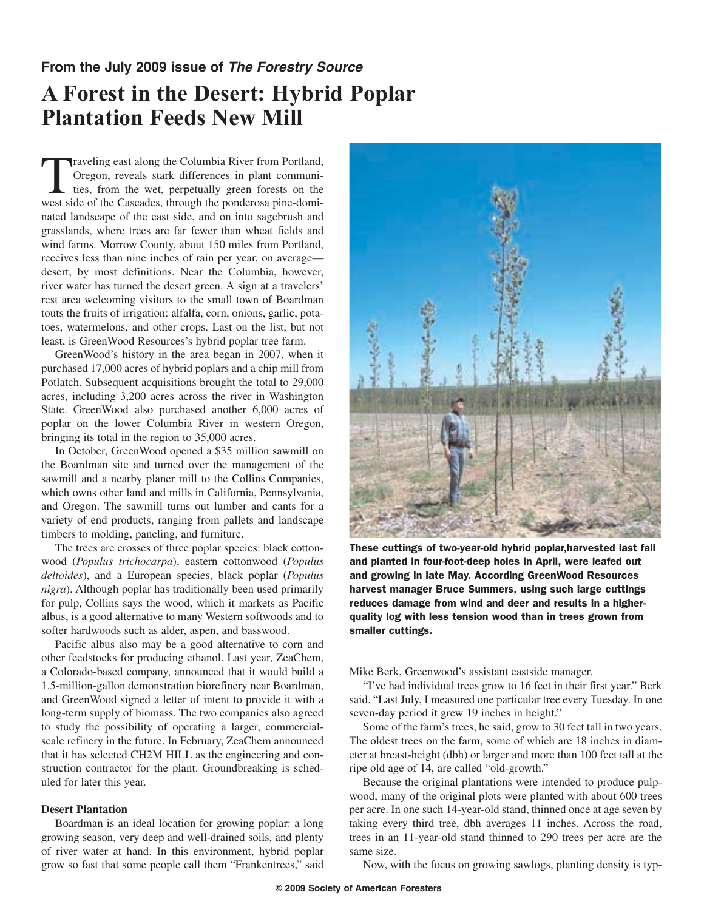## **From the July 2009 issue of** *The Forestry Source*

## **A Forest in the Desert: Hybrid Poplar Plantation Feeds New Mill**

Traveling east along the Columbia River from Portland,<br>Oregon, reveals stark differences in plant communi-<br>ties, from the wet, perpetually green forests on the<br>west side of the Cascades through the ponderosa pine-domi-Oregon, reveals stark differences in plant communities, from the wet, perpetually green forests on the west side of the Cascades, through the ponderosa pine-dominated landscape of the east side, and on into sagebrush and grasslands, where trees are far fewer than wheat fields and wind farms. Morrow County, about 150 miles from Portland, receives less than nine inches of rain per year, on average desert, by most definitions. Near the Columbia, however, river water has turned the desert green. A sign at a travelers' rest area welcoming visitors to the small town of Boardman touts the fruits of irrigation: alfalfa, corn, onions, garlic, potatoes, watermelons, and other crops. Last on the list, but not least, is GreenWood Resources's hybrid poplar tree farm.

GreenWood's history in the area began in 2007, when it purchased 17,000 acres of hybrid poplars and a chip mill from Potlatch. Subsequent acquisitions brought the total to 29,000 acres, including 3,200 acres across the river in Washington State. GreenWood also purchased another 6,000 acres of poplar on the lower Columbia River in western Oregon, bringing its total in the region to 35,000 acres.

In October, GreenWood opened a \$35 million sawmill on the Boardman site and turned over the management of the sawmill and a nearby planer mill to the Collins Companies, which owns other land and mills in California, Pennsylvania, and Oregon. The sawmill turns out lumber and cants for a variety of end products, ranging from pallets and landscape timbers to molding, paneling, and furniture.

The trees are crosses of three poplar species: black cottonwood (*Populus trichocarpa*), eastern cottonwood (*Populus deltoides*), and a European species, black poplar (*Populus nigra*). Although poplar has traditionally been used primarily for pulp, Collins says the wood, which it markets as Pacific albus, is a good alternative to many Western softwoods and to softer hardwoods such as alder, aspen, and basswood.

Pacific albus also may be a good alternative to corn and other feedstocks for producing ethanol. Last year, ZeaChem, a Colorado-based company, announced that it would build a 1.5-million-gallon demonstration biorefinery near Boardman, and GreenWood signed a letter of intent to provide it with a long-term supply of biomass. The two companies also agreed to study the possibility of operating a larger, commercialscale refinery in the future. In February, ZeaChem announced that it has selected CH2M HILL as the engineering and construction contractor for the plant. Groundbreaking is scheduled for later this year.

## **Desert Plantation**

Boardman is an ideal location for growing poplar: a long growing season, very deep and well-drained soils, and plenty of river water at hand. In this environment, hybrid poplar grow so fast that some people call them "Frankentrees," said



These cuttings of two-year-old hybrid poplar,harvested last fall and planted in four-foot-deep holes in April, were leafed out and growing in late May. According GreenWood Resources harvest manager Bruce Summers, using such large cuttings reduces damage from wind and deer and results in a higherquality log with less tension wood than in trees grown from smaller cuttings.

Mike Berk, Greenwood's assistant eastside manager.

"I've had individual trees grow to 16 feet in their first year." Berk said. "Last July, I measured one particular tree every Tuesday. In one seven-day period it grew 19 inches in height."

Some of the farm's trees, he said, grow to 30 feet tall in two years. The oldest trees on the farm, some of which are 18 inches in diameter at breast-height (dbh) or larger and more than 100 feet tall at the ripe old age of 14, are called "old-growth."

Because the original plantations were intended to produce pulpwood, many of the original plots were planted with about 600 trees per acre. In one such 14-year-old stand, thinned once at age seven by taking every third tree, dbh averages 11 inches. Across the road, trees in an 11-year-old stand thinned to 290 trees per acre are the same size.

Now, with the focus on growing sawlogs, planting density is typ-